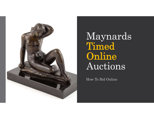

Maynards Timed Online Auctions

How To Bid Online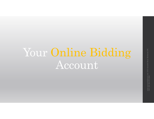# Your Online Bidding Account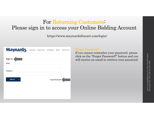#### For Returning Customers: Please sign in to access your Online Bidding Account

https://www.maynardsfineart.com/login/

| <b>Maynards</b>                | Auctions Appraisals Highlights News Contact Us |                         |  |
|--------------------------------|------------------------------------------------|-------------------------|--|
| Sign In<br><b>Email</b>        |                                                |                         |  |
| Password                       |                                                |                         |  |
| <b>LOG IN</b><br>$\rightarrow$ |                                                | <b>Forgot Password?</b> |  |
|                                |                                                |                         |  |
|                                |                                                |                         |  |

#### Forgot Password?

If you cannot remember your password, please click on the "Forgot Password?" button and you will receive an email to retrieve your password.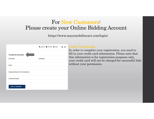#### For New Customers: Please create your Online Bidding Account

https://www.maynardsfineart.com/login/

| BID NOW BUY NOW DI LOGIN<br>(2) |
|---------------------------------|
|                                 |
| <b>Last Name</b>                |
|                                 |
|                                 |
|                                 |
|                                 |
|                                 |

#### Credit Card Details

In order to complete your registration, you need to fill in your credit card information. Please note that this information is for registration purposes only, your credit card will not be charged for successful bids without your permission.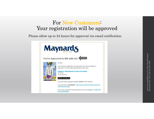#### For New Customers: Your registration will be approved

Please allow up to 24 hours for approval via email notification

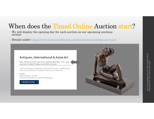### When does the **Timed Online** Auction start?

- We will display the opening day for each auction on our upcoming auctions section
- Details under https://www.maynardsfineart.com/auctions/upcoming-auctions/

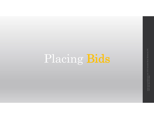# Placing Bids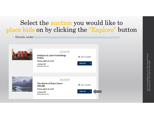### Select the **auction** you would like to place bids on by clicking the "Explore" button

• Details under https://www.maynardsfineart.com/auctions/upcoming-auctions/

| <b>TIMED AUCTION</b><br><b>Antiques &amp; Later Furnishings</b><br><b>Online</b><br>Friday, April 24, 2020<br>13:00pm PDT<br>Richmond, BC, CA | 簂<br><b>ADD TO CALENDAR</b><br><b>EXPLORE</b><br>→             |  |
|-----------------------------------------------------------------------------------------------------------------------------------------------|----------------------------------------------------------------|--|
| <b>TIMED AUCTION</b><br><b>The Works of Peter Ewart</b><br><b>ONLINE</b><br>Friday, April 10, 2020<br>13:00pm PDT<br>Richmond, BC, CA         | 雦<br><b>ADD TO CALENDAR</b><br><b>EXPLORE</b><br>$\rightarrow$ |  |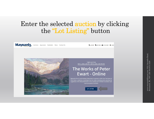#### Enter the selected auction by clicking the "Lot Listing" button



Auctions Appraisals Highlights News Contact Us

RESIDENCY SUP NOW & MY ACCOUNT **OF LOGOL** 



**TIMED AUCTION** MAY 1, 2020, 1:00 PM - MAY 8, 2020, 1:00 PM PDT

#### The Works of Peter **Ewart - Online**

Maynards Fine Art and Antiques Department is pleased to offer from The Estate of Peter Ewart, a selection of paintings from his studio, including works depicting the<br>ruggedness of the Rocky Mountains to the crashing surf of British Columbia's west coast and points in-between

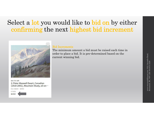### Select a lot you would like to bid on by either confirming the next highest bid increment



6m 17s left 2: Peter Maxwell Ewart, Canadian (1918-2001), Mountain Study, oil on...

Est: \$660 - \$990



#### Bid Increments

The minimum amount a bid must be raised each time in order to place a bid. It is pre-determined based on the current winning bid.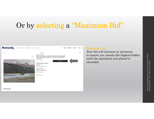## Or by selecting a "Maximum Bid"

| <b>Maynard<sub>S</sub></b><br>Auctions Appraisals<br>Highlights | News Contact Us                                                                                                                                                                                                                                                                                                                                                                                       | $Q \n\circledcirc$<br>★ BIDNOW ● BUYNOW ● LOGIN |
|-----------------------------------------------------------------|-------------------------------------------------------------------------------------------------------------------------------------------------------------------------------------------------------------------------------------------------------------------------------------------------------------------------------------------------------------------------------------------------------|-------------------------------------------------|
| O                                                               | Lot 16<br>20h 10m 26s left<br>Peter Maxwell Ewart, Canadian (1918-2001), Athabasca River<br>Valley, Oil On Board, 18 X 24 In. (45.7 X 61 Cm) (Unframed)<br><b>View Catalogue</b><br><b>LEAVE BID</b><br>Your max bid.<br>Estimate: CAD1,500 - CAD2,000<br>\$1,000 (0 bids)<br>June 9, 2020, 12:00 PM PST<br>Richmond, BC, CA<br><b>Request more information</b><br>Add to calendar<br>Register to bid |                                                 |
| <b>Item Overview</b>                                            |                                                                                                                                                                                                                                                                                                                                                                                                       | $\widehat{\phantom{a}}$                         |

#### Maximum Bid

Your bid will increase as necessary to ensure you remain the highest bidder until the maximum you placed is exceeded.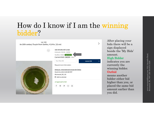### How do I know if I am the winning bidder?

| Lot 294<br>An 18th century Toupin from Sarthe, 4 3/4 in. (12 cm) |                                                                                                                    |   |
|------------------------------------------------------------------|--------------------------------------------------------------------------------------------------------------------|---|
|                                                                  | 13d 23h 29m left to bid<br>Estimate: CA\$30 - CA\$50<br>My Bids: CA\$20 high bidder<br>Current Bid: CA\$20 (1 Bid) |   |
|                                                                  | Your Max Bid<br><b>Leave Bid</b><br>Request more information                                                       | → |
|                                                                  | Antiques, International & Asian Art Online<br>March 19, 2021 9:00 AM PDT<br>Richmond, BC, CA<br>台 Add to calendar  |   |
|                                                                  | ✔ Approved to bid<br>f<br>$^{\circ}$                                                                               |   |

After placing your bids there will be a sign displayed beside the 'My Bids' amount.

#### High Bidder

indicates you are currently the winning bidder. **Outbid** 

means another bidder either bid higher than you, or placed the same bid amount earlier than you did.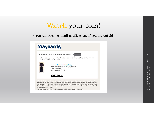## Watch your bids!

• You will receive email notifications if you are outbid



Maynards Antique & Fine Arts Ltd, 3331 Jacombs Road, Richmond, British Columbia, CA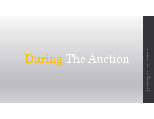# During The Auction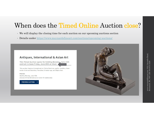### When does the Timed Online Auction close?

- We will display the closing time for each auction on our upcoming auctions section
- Details under https://www.maynardsfineart.com/auctions/upcoming-auctions/



This Timed Auction opens for bidding Monday, June 15th and Lot 1 closes Friday, June 26th at 11am

This auction features International art, Period furniture, quality Jewellery, Asian works of art and Ceramics, Fine silver, Oriental rugs, and Objets d'art.

Preview:

Starting Monday, June 15th (Access will be limited due to Covid-19 restrictions)



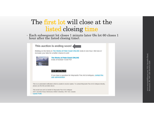#### The first lot will close at the listed closing time

• Each subsequent lot closes 1 minute later (So lot 60 closes 1 hour after the listed closing time).

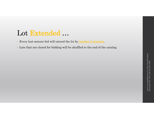## Lot Extended …

- Every last-minute bid will extend the lot by **another 5 minutes**.
- Lots that are closed for bidding will be shuffled to the end of the catalog.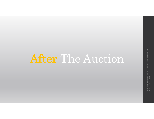# After The Auction